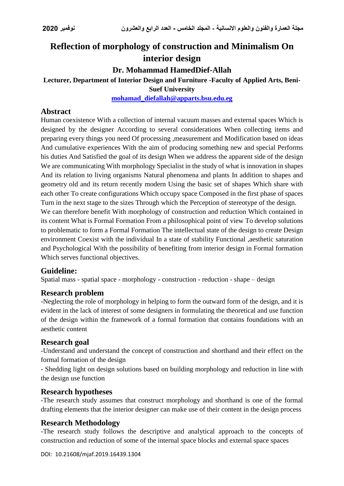# **Reflection of morphology of construction and Minimalism On interior design**

## **Dr. Mohammad HamedDief-Allah**

## **Lecturer, Department of Interior Design and Furniture -Faculty of Applied Arts, Beni-**

**Suef University**

**[mohamad\\_diefallah@apparts.bsu.edu.eg](mailto:mohamad_diefallah@apparts.bsu.edu.eg)**

### **Abstract**

Human coexistence With a collection of internal vacuum masses and external spaces Which is designed by the designer According to several considerations When collecting items and preparing every things you need Of processing ,measurement and Modification based on ideas And cumulative experiences With the aim of producing something new and special Performs his duties And Satisfied the goal of its design When we address the apparent side of the design We are communicating With morphology Specialist in the study of what is innovation in shapes And its relation to living organisms Natural phenomena and plants In addition to shapes and geometry old and its return recently modern Using the basic set of shapes Which share with each other To create configurations Which occupy space Composed in the first phase of spaces Turn in the next stage to the sizes Through which the Perception of stereotype of the design.

We can therefore benefit With morphology of construction and reduction Which contained in its content What is Formal Formation From a philosophical point of view To develop solutions to problematic to form a Formal Formation The intellectual state of the design to create Design environment Coexist with the individual In a state of stability Functional ,aesthetic saturation and Psychological With the possibility of benefiting from interior design in Formal formation Which serves functional objectives.

## **Guideline:**

Spatial mass - spatial space - morphology - construction - reduction - shape – design

#### **Research problem**

-Neglecting the role of morphology in helping to form the outward form of the design, and it is evident in the lack of interest of some designers in formulating the theoretical and use function of the design within the framework of a formal formation that contains foundations with an aesthetic content

## **Research goal**

-Understand and understand the concept of construction and shorthand and their effect on the formal formation of the design

- Shedding light on design solutions based on building morphology and reduction in line with the design use function

## **Research hypotheses**

-The research study assumes that construct morphology and shorthand is one of the formal drafting elements that the interior designer can make use of their content in the design process

## **Research Methodology**

-The research study follows the descriptive and analytical approach to the concepts of construction and reduction of some of the internal space blocks and external space spaces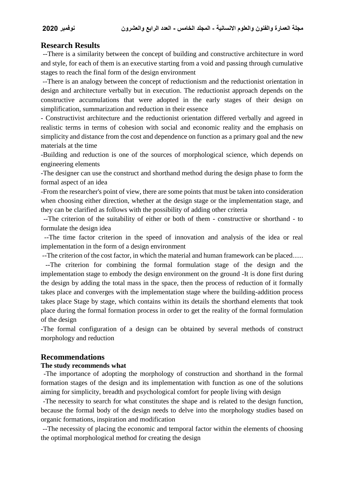#### **مجلة العمارة والفنون والعلوم االنسانية - المجلد الخامس - العدد الرابع والعشرون نوفمبر 2020**

#### **Research Results**

--There is a similarity between the concept of building and constructive architecture in word and style, for each of them is an executive starting from a void and passing through cumulative stages to reach the final form of the design environment

--There is an analogy between the concept of reductionism and the reductionist orientation in design and architecture verbally but in execution. The reductionist approach depends on the constructive accumulations that were adopted in the early stages of their design on simplification, summarization and reduction in their essence

- Constructivist architecture and the reductionist orientation differed verbally and agreed in realistic terms in terms of cohesion with social and economic reality and the emphasis on simplicity and distance from the cost and dependence on function as a primary goal and the new materials at the time

-Building and reduction is one of the sources of morphological science, which depends on engineering elements

-The designer can use the construct and shorthand method during the design phase to form the formal aspect of an idea

-From the researcher's point of view, there are some points that must be taken into consideration when choosing either direction, whether at the design stage or the implementation stage, and they can be clarified as follows with the possibility of adding other criteria

--The criterion of the suitability of either or both of them - constructive or shorthand - to formulate the design idea

--The time factor criterion in the speed of innovation and analysis of the idea or real implementation in the form of a design environment

--The criterion of the cost factor, in which the material and human framework can be placed...... --The criterion for combining the formal formulation stage of the design and the implementation stage to embody the design environment on the ground -It is done first during the design by adding the total mass in the space, then the process of reduction of it formally takes place and converges with the implementation stage where the building-addition process takes place Stage by stage, which contains within its details the shorthand elements that took place during the formal formation process in order to get the reality of the formal formulation of the design

-The formal configuration of a design can be obtained by several methods of construct morphology and reduction

#### **Recommendations**

#### **The study recommends what**

-The importance of adopting the morphology of construction and shorthand in the formal formation stages of the design and its implementation with function as one of the solutions aiming for simplicity, breadth and psychological comfort for people living with design

-The necessity to search for what constitutes the shape and is related to the design function, because the formal body of the design needs to delve into the morphology studies based on organic formations, inspiration and modification

--The necessity of placing the economic and temporal factor within the elements of choosing the optimal morphological method for creating the design